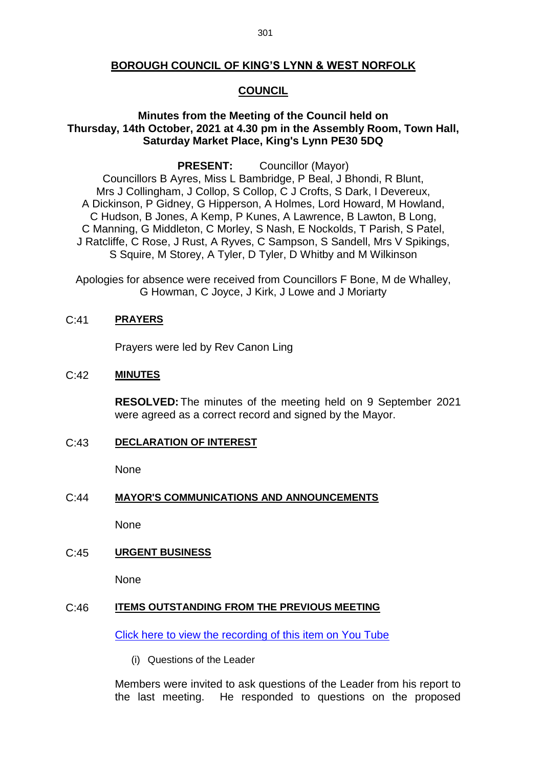## **BOROUGH COUNCIL OF KING'S LYNN & WEST NORFOLK**

### **COUNCIL**

## **Minutes from the Meeting of the Council held on Thursday, 14th October, 2021 at 4.30 pm in the Assembly Room, Town Hall, Saturday Market Place, King's Lynn PE30 5DQ**

**PRESENT:** Councillor (Mayor)

Councillors B Ayres, Miss L Bambridge, P Beal, J Bhondi, R Blunt, Mrs J Collingham, J Collop, S Collop, C J Crofts, S Dark, I Devereux, A Dickinson, P Gidney, G Hipperson, A Holmes, Lord Howard, M Howland, C Hudson, B Jones, A Kemp, P Kunes, A Lawrence, B Lawton, B Long, C Manning, G Middleton, C Morley, S Nash, E Nockolds, T Parish, S Patel, J Ratcliffe, C Rose, J Rust, A Ryves, C Sampson, S Sandell, Mrs V Spikings, S Squire, M Storey, A Tyler, D Tyler, D Whitby and M Wilkinson

Apologies for absence were received from Councillors F Bone, M de Whalley, G Howman, C Joyce, J Kirk, J Lowe and J Moriarty

### C:41 **PRAYERS**

Prayers were led by Rev Canon Ling

### C:42 **MINUTES**

**RESOLVED:** The minutes of the meeting held on 9 September 2021 were agreed as a correct record and signed by the Mayor.

### C:43 **DECLARATION OF INTEREST**

None

#### C:44 **MAYOR'S COMMUNICATIONS AND ANNOUNCEMENTS**

None

### C:45 **URGENT BUSINESS**

None

### C:46 **ITEMS OUTSTANDING FROM THE PREVIOUS MEETING**

[Click here to view the recording of this item on You Tube](https://youtu.be/ftNPA1k1L5U?t=172)

(i) Questions of the Leader

Members were invited to ask questions of the Leader from his report to the last meeting. He responded to questions on the proposed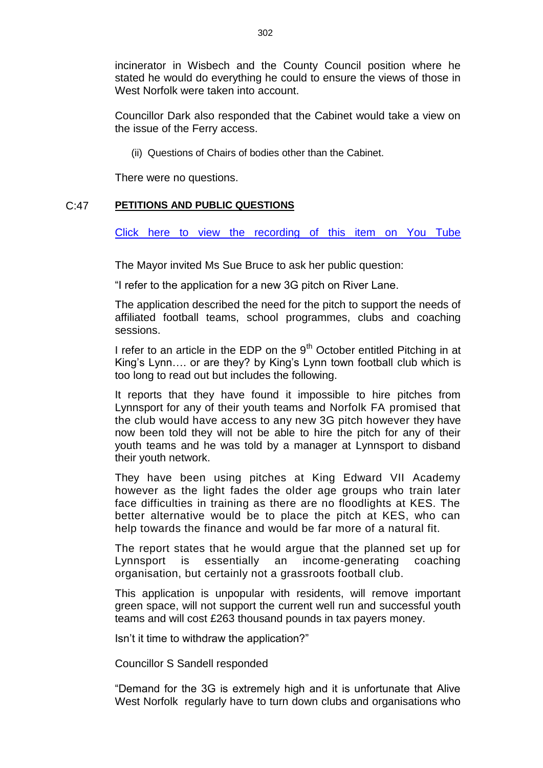incinerator in Wisbech and the County Council position where he stated he would do everything he could to ensure the views of those in West Norfolk were taken into account.

Councillor Dark also responded that the Cabinet would take a view on the issue of the Ferry access.

(ii) Questions of Chairs of bodies other than the Cabinet.

There were no questions.

### C:47 **PETITIONS AND PUBLIC QUESTIONS**

[Click here to view the recording of this item on You Tube](https://youtu.be/ftNPA1k1L5U?t=562)

The Mayor invited Ms Sue Bruce to ask her public question:

"I refer to the application for a new 3G pitch on River Lane.

The application described the need for the pitch to support the needs of affiliated football teams, school programmes, clubs and coaching sessions.

I refer to an article in the EDP on the  $9<sup>th</sup>$  October entitled Pitching in at King's Lynn…. or are they? by King's Lynn town football club which is too long to read out but includes the following.

It reports that they have found it impossible to hire pitches from Lynnsport for any of their youth teams and Norfolk FA promised that the club would have access to any new 3G pitch however they have now been told they will not be able to hire the pitch for any of their youth teams and he was told by a manager at Lynnsport to disband their youth network.

They have been using pitches at King Edward VII Academy however as the light fades the older age groups who train later face difficulties in training as there are no floodlights at KES. The better alternative would be to place the pitch at KES, who can help towards the finance and would be far more of a natural fit.

The report states that he would argue that the planned set up for Lynnsport is essentially an income-generating coaching organisation, but certainly not a grassroots football club.

This application is unpopular with residents, will remove important green space, will not support the current well run and successful youth teams and will cost £263 thousand pounds in tax payers money.

Isn't it time to withdraw the application?"

Councillor S Sandell responded

"Demand for the 3G is extremely high and it is unfortunate that Alive West Norfolk regularly have to turn down clubs and organisations who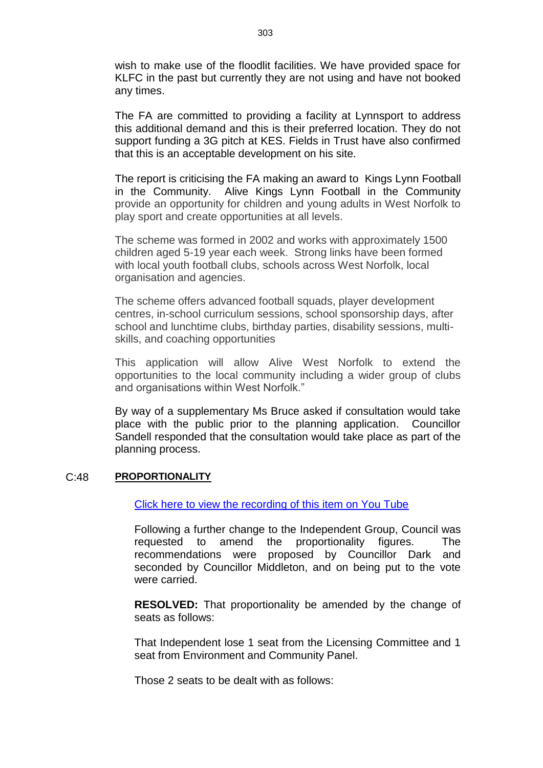wish to make use of the floodlit facilities. We have provided space for KLFC in the past but currently they are not using and have not booked any times.

The FA are committed to providing a facility at Lynnsport to address this additional demand and this is their preferred location. They do not support funding a 3G pitch at KES. Fields in Trust have also confirmed that this is an acceptable development on his site.

The report is criticising the FA making an award to Kings Lynn Football in the Community. Alive Kings Lynn Football in the Community provide an opportunity for children and young adults in West Norfolk to play sport and create opportunities at all levels.

The scheme was formed in 2002 and works with approximately 1500 children aged 5-19 year each week. Strong links have been formed with local youth football clubs, schools across West Norfolk, local organisation and agencies.

The scheme offers advanced football squads, player development centres, in-school curriculum sessions, school sponsorship days, after school and lunchtime clubs, birthday parties, disability sessions, multiskills, and coaching opportunities

This application will allow Alive West Norfolk to extend the opportunities to the local community including a wider group of clubs and organisations within West Norfolk."

By way of a supplementary Ms Bruce asked if consultation would take place with the public prior to the planning application. Councillor Sandell responded that the consultation would take place as part of the planning process.

### C:48 **PROPORTIONALITY**

# [Click here to view the recording of this item on You Tube](https://youtu.be/ftNPA1k1L5U?t=866)

Following a further change to the Independent Group, Council was requested to amend the proportionality figures. The recommendations were proposed by Councillor Dark and seconded by Councillor Middleton, and on being put to the vote were carried.

**RESOLVED:** That proportionality be amended by the change of seats as follows:

That Independent lose 1 seat from the Licensing Committee and 1 seat from Environment and Community Panel.

Those 2 seats to be dealt with as follows: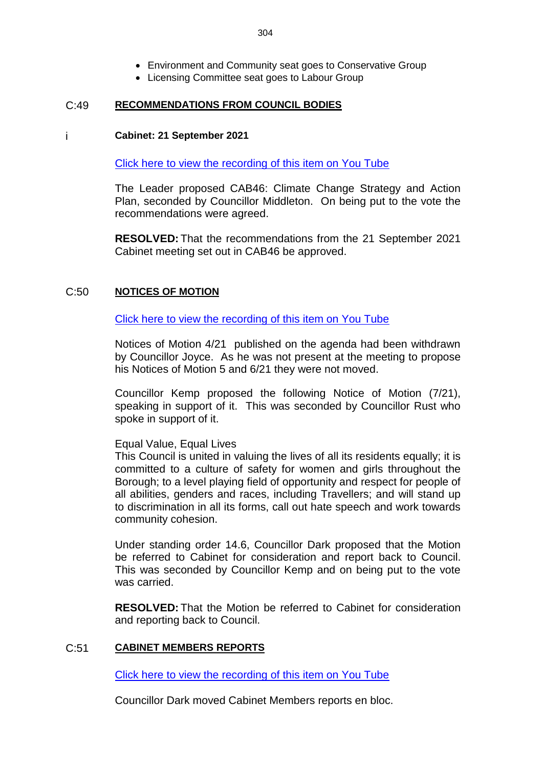- Environment and Community seat goes to Conservative Group
- Licensing Committee seat goes to Labour Group

### C:49 **RECOMMENDATIONS FROM COUNCIL BODIES**

### i **Cabinet: 21 September 2021**

[Click here to view the recording of this item on You Tube](https://youtu.be/ftNPA1k1L5U?t=1405)

The Leader proposed CAB46: Climate Change Strategy and Action Plan, seconded by Councillor Middleton. On being put to the vote the recommendations were agreed.

**RESOLVED:** That the recommendations from the 21 September 2021 Cabinet meeting set out in CAB46 be approved.

## C:50 **NOTICES OF MOTION**

[Click here to view the recording of this item on You Tube](https://youtu.be/ftNPA1k1L5U?t=1682)

Notices of Motion 4/21 published on the agenda had been withdrawn by Councillor Joyce. As he was not present at the meeting to propose his Notices of Motion 5 and 6/21 they were not moved.

Councillor Kemp proposed the following Notice of Motion (7/21), speaking in support of it. This was seconded by Councillor Rust who spoke in support of it.

Equal Value, Equal Lives

This Council is united in valuing the lives of all its residents equally; it is committed to a culture of safety for women and girls throughout the Borough; to a level playing field of opportunity and respect for people of all abilities, genders and races, including Travellers; and will stand up to discrimination in all its forms, call out hate speech and work towards community cohesion.

Under standing order 14.6, Councillor Dark proposed that the Motion be referred to Cabinet for consideration and report back to Council. This was seconded by Councillor Kemp and on being put to the vote was carried.

**RESOLVED:** That the Motion be referred to Cabinet for consideration and reporting back to Council.

# C:51 **CABINET MEMBERS REPORTS**

[Click here to view the recording of this item on You Tube](https://youtu.be/ftNPA1k1L5U?t=2566)

Councillor Dark moved Cabinet Members reports en bloc.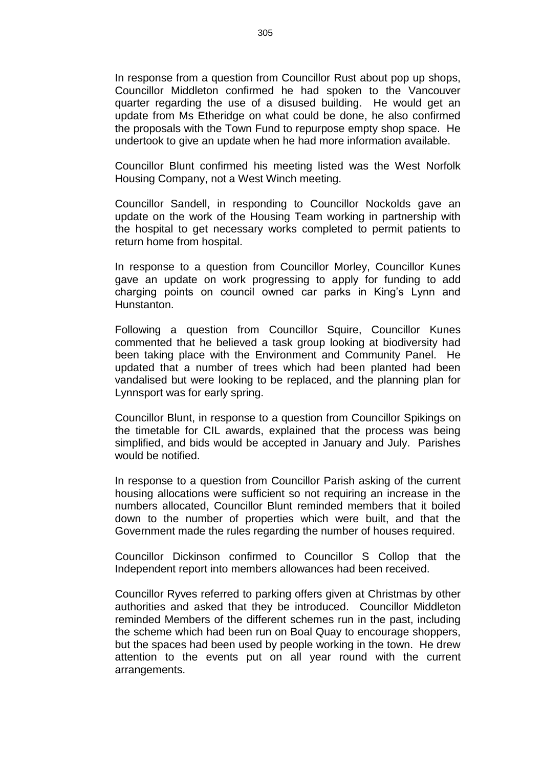In response from a question from Councillor Rust about pop up shops, Councillor Middleton confirmed he had spoken to the Vancouver quarter regarding the use of a disused building. He would get an update from Ms Etheridge on what could be done, he also confirmed the proposals with the Town Fund to repurpose empty shop space. He undertook to give an update when he had more information available.

Councillor Blunt confirmed his meeting listed was the West Norfolk Housing Company, not a West Winch meeting.

Councillor Sandell, in responding to Councillor Nockolds gave an update on the work of the Housing Team working in partnership with the hospital to get necessary works completed to permit patients to return home from hospital.

In response to a question from Councillor Morley, Councillor Kunes gave an update on work progressing to apply for funding to add charging points on council owned car parks in King's Lynn and Hunstanton.

Following a question from Councillor Squire, Councillor Kunes commented that he believed a task group looking at biodiversity had been taking place with the Environment and Community Panel. He updated that a number of trees which had been planted had been vandalised but were looking to be replaced, and the planning plan for Lynnsport was for early spring.

Councillor Blunt, in response to a question from Councillor Spikings on the timetable for CIL awards, explained that the process was being simplified, and bids would be accepted in January and July. Parishes would be notified.

In response to a question from Councillor Parish asking of the current housing allocations were sufficient so not requiring an increase in the numbers allocated, Councillor Blunt reminded members that it boiled down to the number of properties which were built, and that the Government made the rules regarding the number of houses required.

Councillor Dickinson confirmed to Councillor S Collop that the Independent report into members allowances had been received.

Councillor Ryves referred to parking offers given at Christmas by other authorities and asked that they be introduced. Councillor Middleton reminded Members of the different schemes run in the past, including the scheme which had been run on Boal Quay to encourage shoppers, but the spaces had been used by people working in the town. He drew attention to the events put on all year round with the current arrangements.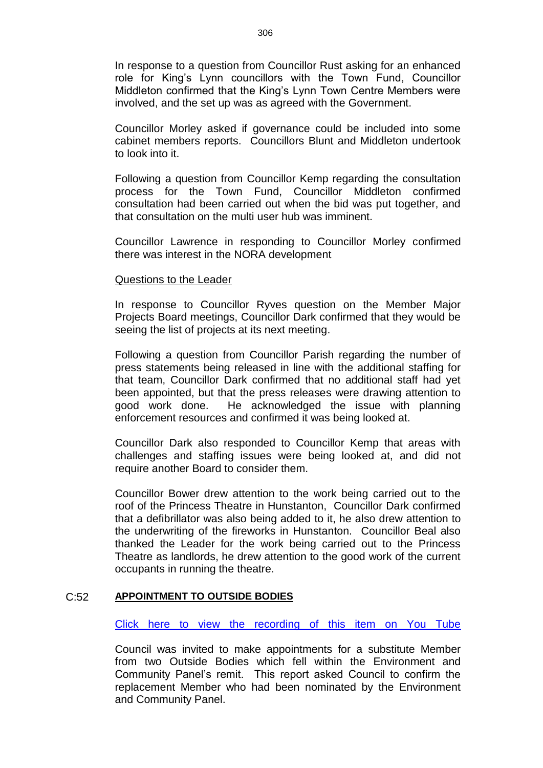In response to a question from Councillor Rust asking for an enhanced role for King's Lynn councillors with the Town Fund, Councillor Middleton confirmed that the King's Lynn Town Centre Members were involved, and the set up was as agreed with the Government.

Councillor Morley asked if governance could be included into some cabinet members reports. Councillors Blunt and Middleton undertook to look into it.

Following a question from Councillor Kemp regarding the consultation process for the Town Fund, Councillor Middleton confirmed consultation had been carried out when the bid was put together, and that consultation on the multi user hub was imminent.

Councillor Lawrence in responding to Councillor Morley confirmed there was interest in the NORA development

#### Questions to the Leader

In response to Councillor Ryves question on the Member Major Projects Board meetings, Councillor Dark confirmed that they would be seeing the list of projects at its next meeting.

Following a question from Councillor Parish regarding the number of press statements being released in line with the additional staffing for that team, Councillor Dark confirmed that no additional staff had yet been appointed, but that the press releases were drawing attention to good work done. He acknowledged the issue with planning enforcement resources and confirmed it was being looked at.

Councillor Dark also responded to Councillor Kemp that areas with challenges and staffing issues were being looked at, and did not require another Board to consider them.

Councillor Bower drew attention to the work being carried out to the roof of the Princess Theatre in Hunstanton, Councillor Dark confirmed that a defibrillator was also being added to it, he also drew attention to the underwriting of the fireworks in Hunstanton. Councillor Beal also thanked the Leader for the work being carried out to the Princess Theatre as landlords, he drew attention to the good work of the current occupants in running the theatre.

### C:52 **APPOINTMENT TO OUTSIDE BODIES**

[Click here to view the recording of this item on You Tube](https://youtu.be/ftNPA1k1L5U?t=1517)

Council was invited to make appointments for a substitute Member from two Outside Bodies which fell within the Environment and Community Panel's remit. This report asked Council to confirm the replacement Member who had been nominated by the Environment and Community Panel.